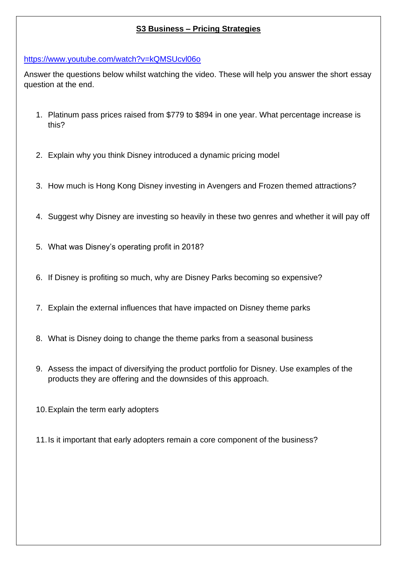## **S3 Business – Pricing Strategies**

<https://www.youtube.com/watch?v=kQMSUcvl06o>

Answer the questions below whilst watching the video. These will help you answer the short essay question at the end.

- 1. Platinum pass prices raised from \$779 to \$894 in one year. What percentage increase is this?
- 2. Explain why you think Disney introduced a dynamic pricing model
- 3. How much is Hong Kong Disney investing in Avengers and Frozen themed attractions?
- 4. Suggest why Disney are investing so heavily in these two genres and whether it will pay off
- 5. What was Disney's operating profit in 2018?
- 6. If Disney is profiting so much, why are Disney Parks becoming so expensive?
- 7. Explain the external influences that have impacted on Disney theme parks
- 8. What is Disney doing to change the theme parks from a seasonal business
- 9. Assess the impact of diversifying the product portfolio for Disney. Use examples of the products they are offering and the downsides of this approach.
- 10.Explain the term early adopters
- 11.Is it important that early adopters remain a core component of the business?